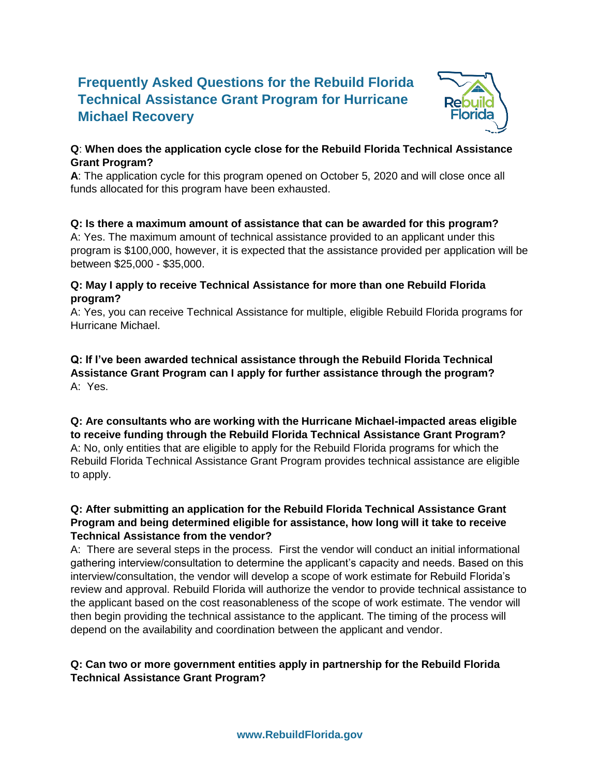# **Frequently Asked Questions for the Rebuild Florida Technical Assistance Grant Program for Hurricane Michael Recovery**



### **Q**: **When does the application cycle close for the Rebuild Florida Technical Assistance Grant Program?**

**A**: The application cycle for this program opened on October 5, 2020 and will close once all funds allocated for this program have been exhausted.

## **Q: Is there a maximum amount of assistance that can be awarded for this program?**

A: Yes. The maximum amount of technical assistance provided to an applicant under this program is \$100,000, however, it is expected that the assistance provided per application will be between \$25,000 - \$35,000.

#### **Q: May I apply to receive Technical Assistance for more than one Rebuild Florida program?**

A: Yes, you can receive Technical Assistance for multiple, eligible Rebuild Florida programs for Hurricane Michael.

**Q: If I've been awarded technical assistance through the Rebuild Florida Technical Assistance Grant Program can I apply for further assistance through the program?** A: Yes.

### **Q: Are consultants who are working with the Hurricane Michael-impacted areas eligible to receive funding through the Rebuild Florida Technical Assistance Grant Program?** A: No, only entities that are eligible to apply for the Rebuild Florida programs for which the Rebuild Florida Technical Assistance Grant Program provides technical assistance are eligible to apply.

### **Q: After submitting an application for the Rebuild Florida Technical Assistance Grant Program and being determined eligible for assistance, how long will it take to receive Technical Assistance from the vendor?**

A: There are several steps in the process. First the vendor will conduct an initial informational gathering interview/consultation to determine the applicant's capacity and needs. Based on this interview/consultation, the vendor will develop a scope of work estimate for Rebuild Florida's review and approval. Rebuild Florida will authorize the vendor to provide technical assistance to the applicant based on the cost reasonableness of the scope of work estimate. The vendor will then begin providing the technical assistance to the applicant. The timing of the process will depend on the availability and coordination between the applicant and vendor.

#### **Q: Can two or more government entities apply in partnership for the Rebuild Florida Technical Assistance Grant Program?**